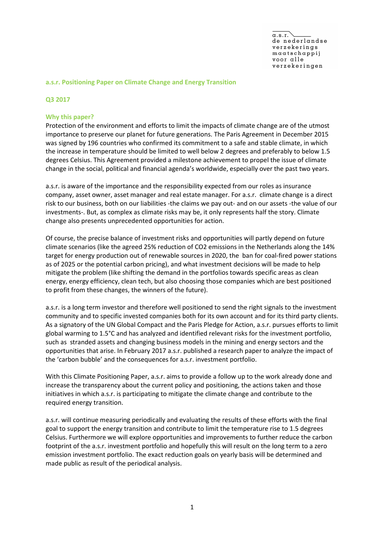#### **a.s.r. Positioning Paper on Climate Change and Energy Transition**

#### **Q3 2017**

#### **Why this paper?**

Protection of the environment and efforts to limit the impacts of climate change are of the utmost importance to preserve our planet for future generations. The Paris Agreement in December 2015 was signed by 196 countries who confirmed its commitment to a safe and stable climate, in which the increase in temperature should be limited to well below 2 degrees and preferably to below 1.5 degrees Celsius. This Agreement provided a milestone achievement to propel the issue of climate change in the social, political and financial agenda's worldwide, especially over the past two years.

a.s.r. is aware of the importance and the responsibility expected from our roles as insurance company, asset owner, asset manager and real estate manager. For a.s.r. climate change is a direct risk to our business, both on our liabilities -the claims we pay out- and on our assets -the value of our investments-. But, as complex as climate risks may be, it only represents half the story. Climate change also presents unprecedented opportunities for action.

Of course, the precise balance of investment risks and opportunities will partly depend on future climate scenarios (like the agreed 25% reduction of CO2 emissions in the Netherlands along the 14% target for energy production out of renewable sources in 2020, the ban for coal-fired power stations as of 2025 or the potential carbon pricing), and what investment decisions will be made to help mitigate the problem (like shifting the demand in the portfolios towards specific areas as clean energy, energy efficiency, clean tech, but also choosing those companies which are best positioned to profit from these changes, the winners of the future).

a.s.r. is a long term investor and therefore well positioned to send the right signals to the investment community and to specific invested companies both for its own account and for its third party clients. As a signatory of the UN Global Compact and the Paris Pledge for Action, a.s.r. pursues efforts to limit global warming to 1.5°C and has analyzed and identified relevant risks for the investment portfolio, such as stranded assets and changing business models in the mining and energy sectors and the opportunities that arise. In February 2017 a.s.r. published a research paper to analyze the impact of the 'carbon bubble' and the consequences for a.s.r. investment portfolio.

With this Climate Positioning Paper, a.s.r. aims to provide a follow up to the work already done and increase the transparency about the current policy and positioning, the actions taken and those initiatives in which a.s.r. is participating to mitigate the climate change and contribute to the required energy transition.

a.s.r. will continue measuring periodically and evaluating the results of these efforts with the final goal to support the energy transition and contribute to limit the temperature rise to 1.5 degrees Celsius. Furthermore we will explore opportunities and improvements to further reduce the carbon footprint of the a.s.r. investment portfolio and hopefully this will result on the long term to a zero emission investment portfolio. The exact reduction goals on yearly basis will be determined and made public as result of the periodical analysis.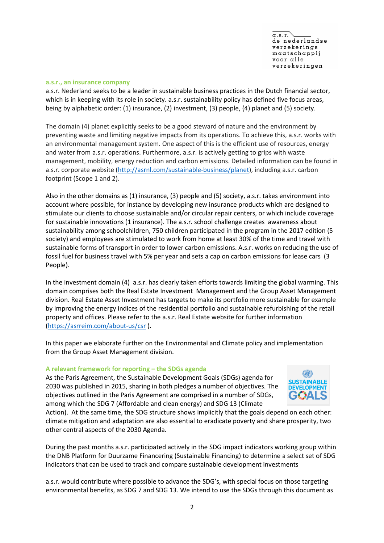$\sigma$  s  $r$ de nederlandse verzekerings maatschappij voor alle verzekeringen

#### **a.s.r., an insurance company**

a.s.r. Nederland seeks to be a leader in sustainable business practices in the Dutch financial sector, which is in keeping with its role in society. a.s.r. sustainability policy has defined five focus areas, being by alphabetic order: (1) insurance, (2) investment, (3) people, (4) planet and (5) society.

The domain (4) planet explicitly seeks to be a good steward of nature and the environment by preventing waste and limiting negative impacts from its operations. To achieve this, a.s.r. works with an environmental management system. One aspect of this is the efficient use of resources, energy and water from a.s.r. operations. Furthermore, a.s.r. is actively getting to grips with waste management, mobility, energy reduction and carbon emissions. Detailed information can be found in a.s.r. corporate website (http://asrnl.com/sustainable-business/planet), including a.s.r. carbon footprint (Scope 1 and 2).

Also in the other domains as (1) insurance, (3) people and (5) society, a.s.r. takes environment into account where possible, for instance by developing new insurance products which are designed to stimulate our clients to choose sustainable and/or circular repair centers, or which include coverage for sustainable innovations (1 insurance). The a.s.r. school challenge creates awareness about sustainability among schoolchildren, 750 children participated in the program in the 2017 edition (5 society) and employees are stimulated to work from home at least 30% of the time and travel with sustainable forms of transport in order to lower carbon emissions. A.s.r. works on reducing the use of fossil fuel for business travel with 5% per year and sets a cap on carbon emissions for lease cars (3 People).

In the investment domain (4) a.s.r. has clearly taken efforts towards limiting the global warming. This domain comprises both the Real Estate Investment Management and the Group Asset Management division. Real Estate Asset Investment has targets to make its portfolio more sustainable for example by improving the energy indices of the residential portfolio and sustainable refurbishing of the retail property and offices. Please refer to the a.s.r. Real Estate website for further information (https://asrreim.com/about-us/csr ).

In this paper we elaborate further on the Environmental and Climate policy and implementation from the Group Asset Management division.

## **A relevant framework for reporting – the SDGs agenda**

As the Paris Agreement, the Sustainable Development Goals (SDGs) agenda for 2030 was published in 2015, sharing in both pledges a number of objectives. The objectives outlined in the Paris Agreement are comprised in a number of SDGs, among which the SDG 7 (Affordable and clean energy) and SDG 13 (Climate



Action). At the same time, the SDG structure shows implicitly that the goals depend on each other: climate mitigation and adaptation are also essential to eradicate poverty and share prosperity, two other central aspects of the 2030 Agenda.

During the past months a.s.r. participated actively in the SDG impact indicators working group within the DNB Platform for Duurzame Financering (Sustainable Financing) to determine a select set of SDG indicators that can be used to track and compare sustainable development investments

a.s.r. would contribute where possible to advance the SDG's, with special focus on those targeting environmental benefits, as SDG 7 and SDG 13. We intend to use the SDGs through this document as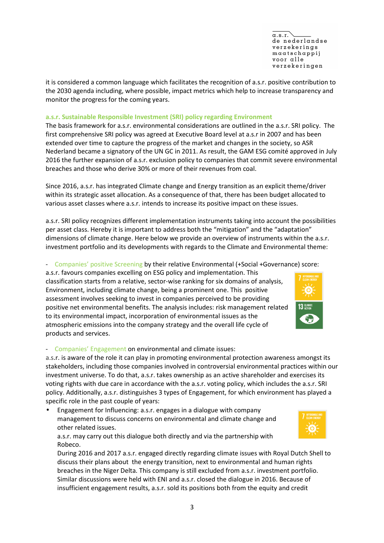$\sigma$  s  $r$ de nederlandse verzekerings  $maxatschappij$ voor alle verzekeringen

it is considered a common language which facilitates the recognition of a.s.r. positive contribution to the 2030 agenda including, where possible, impact metrics which help to increase transparency and monitor the progress for the coming years.

## **a.s.r. Sustainable Responsible Investment (SRI) policy regarding Environment**

The basis framework for a.s.r. environmental considerations are outlined in the a.s.r. SRI policy. The first comprehensive SRI policy was agreed at Executive Board level at a.s.r in 2007 and has been extended over time to capture the progress of the market and changes in the society, so ASR Nederland became a signatory of the UN GC in 2011. As result, the GAM ESG comité approved in July 2016 the further expansion of a.s.r. exclusion policy to companies that commit severe environmental breaches and those who derive 30% or more of their revenues from coal.

Since 2016, a.s.r. has integrated Climate change and Energy transition as an explicit theme/driver within its strategic asset allocation. As a consequence of that, there has been budget allocated to various asset classes where a.s.r. intends to increase its positive impact on these issues.

a.s.r. SRI policy recognizes different implementation instruments taking into account the possibilities per asset class. Hereby it is important to address both the "mitigation" and the "adaptation" dimensions of climate change. Here below we provide an overview of instruments within the a.s.r. investment portfolio and its developments with regards to the Climate and Environmental theme:

## - Companies' positive Screening by their relative Environmental (+Social +Governance) score:

a.s.r. favours companies excelling on ESG policy and implementation. This classification starts from a relative, sector-wise ranking for six domains of analysis, Environment, including climate change, being a prominent one. This positive assessment involves seeking to invest in companies perceived to be providing positive net environmental benefits. The analysis includes: risk management related to its environmental impact, incorporation of environmental issues as the atmospheric emissions into the company strategy and the overall life cycle of products and services.



### - Companies' Engagement on environmental and climate issues:

a.s.r. is aware of the role it can play in promoting environmental protection awareness amongst its stakeholders, including those companies involved in controversial environmental practices within our investment universe. To do that, a.s.r. takes ownership as an active shareholder and exercises its voting rights with due care in accordance with the a.s.r. voting policy, which includes the a.s.r. SRI policy. Additionally, a.s.r. distinguishes 3 types of Engagement, for which environment has played a specific role in the past couple of years:

• Engagement for Influencing: a.s.r. engages in a dialogue with company management to discuss concerns on environmental and climate change and other related issues.

a.s.r. may carry out this dialogue both directly and via the partnership with Robeco.

During 2016 and 2017 a.s.r. engaged directly regarding climate issues with Royal Dutch Shell to discuss their plans about the energy transition, next to environmental and human rights breaches in the Niger Delta. This company is still excluded from a.s.r. investment portfolio. Similar discussions were held with ENI and a.s.r. closed the dialogue in 2016. Because of insufficient engagement results, a.s.r. sold its positions both from the equity and credit

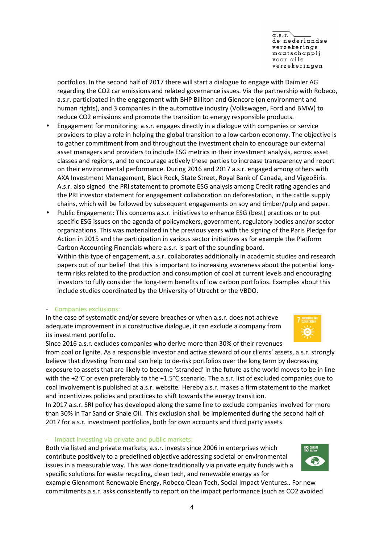4

 $\alpha$ .s.r. de nederlandse verzekerings  $maxatschappij$ voor alle verzekeringen

portfolios. In the second half of 2017 there will start a dialogue to engage with Daimler AG regarding the CO2 car emissions and related governance issues. Via the partnership with Robeco, a.s.r. participated in the engagement with BHP Billiton and Glencore (on environment and human rights), and 3 companies in the automotive industry (Volkswagen, Ford and BMW) to reduce CO2 emissions and promote the transition to energy responsible products.

- Engagement for monitoring: a.s.r. engages directly in a dialogue with companies or service providers to play a role in helping the global transition to a low carbon economy. The objective is to gather commitment from and throughout the investment chain to encourage our external asset managers and providers to include ESG metrics in their investment analysis, across asset classes and regions, and to encourage actively these parties to increase transparency and report on their environmental performance. During 2016 and 2017 a.s.r. engaged among others with AXA Investment Management, Black Rock, State Street, Royal Bank of Canada, and VigeoEiris. A.s.r. also signed the PRI statement to promote ESG analysis among Credit rating agencies and the PRI investor statement for engagement collaboration on deforestation, in the cattle supply chains, which will be followed by subsequent engagements on soy and timber/pulp and paper.
- Public Engagement: This concerns a.s.r. initiatives to enhance ESG (best) practices or to put specific ESG issues on the agenda of policymakers, government, regulatory bodies and/or sector organizations. This was materialized in the previous years with the signing of the Paris Pledge for Action in 2015 and the participation in various sector initiatives as for example the Platform Carbon Accounting Financials where a.s.r. is part of the sounding board. Within this type of engagement, a.s.r. collaborates additionally in academic studies and research papers out of our belief that this is important to increasing awareness about the potential longterm risks related to the production and consumption of coal at current levels and encouraging

investors to fully consider the long-term benefits of low carbon portfolios. Examples about this

## - Companies exclusions:

In the case of systematic and/or severe breaches or when a.s.r. does not achieve adequate improvement in a constructive dialogue, it can exclude a company from its investment portfolio.

include studies coordinated by the University of Utrecht or the VBDO.

Since 2016 a.s.r. excludes companies who derive more than 30% of their revenues from coal or lignite. As a responsible investor and active steward of our clients' assets, a.s.r. strongly believe that divesting from coal can help to de-risk portfolios over the long term by decreasing exposure to assets that are likely to become 'stranded' in the future as the world moves to be in line with the +2°C or even preferably to the +1.5°C scenario. The a.s.r. list of excluded companies due to coal involvement is published at a.s.r. website*.* Hereby a.s.r. makes a firm statement to the market and incentivizes policies and practices to shift towards the energy transition.

In 2017 a.s.r. SRI policy has developed along the same line to exclude companies involved for more than 30% in Tar Sand or Shale Oil. This exclusion shall be implemented during the second half of 2017 for a.s.r. investment portfolios, both for own accounts and third party assets.

### - Impact Investing via private and public markets:

Both via listed and private markets, a.s.r. invests since 2006 in enterprises which contribute positively to a predefined objective addressing societal or environmental issues in a measurable way. This was done traditionally via private equity funds with a specific solutions for waste recycling, clean tech, and renewable energy as for

example Glennmont Renewable Energy, Robeco Clean Tech, Social Impact Ventures.. For new commitments a.s.r. asks consistently to report on the impact performance (such as CO2 avoided



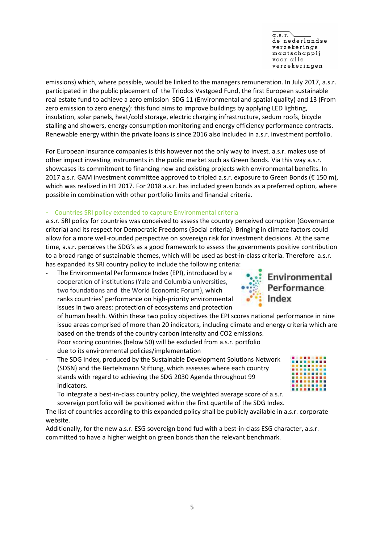$\sigma$  s  $r$ de nederlandse verzekerings  $maxatschappij$ voor alle verzekeringen

emissions) which, where possible, would be linked to the managers remuneration. In July 2017, a.s.r. participated in the public placement of the Triodos Vastgoed Fund, the first European sustainable real estate fund to achieve a zero emission SDG 11 (Environmental and spatial quality) and 13 (From zero emission to zero energy): this fund aims to improve buildings by applying LED lighting, insulation, solar panels, heat/cold storage, electric charging infrastructure, sedum roofs, bicycle stalling and showers, energy consumption monitoring and energy efficiency performance contracts. Renewable energy within the private loans is since 2016 also included in a.s.r. investment portfolio.

For European insurance companies is this however not the only way to invest. a.s.r. makes use of other impact investing instruments in the public market such as Green Bonds. Via this way a.s.r. showcases its commitment to financing new and existing projects with environmental benefits. In 2017 a.s.r. GAM investment committee approved to tripled a.s.r. exposure to Green Bonds ( $\epsilon$  150 m), which was realized in H1 2017. For 2018 a.s.r. has included green bonds as a preferred option, where possible in combination with other portfolio limits and financial criteria.

# - Countries SRI policy extended to capture Environmental criteria

a.s.r. SRI policy for countries was conceived to assess the country perceived corruption (Governance criteria) and its respect for Democratic Freedoms (Social criteria). Bringing in climate factors could allow for a more well-rounded perspective on sovereign risk for investment decisions. At the same time, a.s.r. perceives the SDG's as a good framework to assess the governments positive contribution to a broad range of sustainable themes, which will be used as best-in-class criteria. Therefore a.s.r. has expanded its SRI country policy to include the following criteria:

The Environmental Performance Index (EPI), introduced by a cooperation of institutions (Yale and Columbia universities, two foundations and the World Economic Forum), which ranks countries' performance on high-priority environmental issues in two areas: protection of ecosystems and protection

of human health. Within these two policy objectives the EPI scores national performance in nine issue areas comprised of more than 20 indicators, including climate and energy criteria which are based on the trends of the country carbon intensity and CO2 emissions.

Poor scoring countries (below 50) will be excluded from a.s.r. portfolio due to its environmental policies/implementation

The SDG Index, produced by the Sustainable Development Solutions Network (SDSN) and the Bertelsmann Stiftung, which assesses where each country stands with regard to achieving the SDG 2030 Agenda throughout 99 indicators.

To integrate a best-in-class country policy, the weighted average score of a.s.r. sovereign portfolio will be positioned within the first quartile of the SDG Index.

The list of countries according to this expanded policy shall be publicly available in a.s.r. corporate website.

Additionally, for the new a.s.r. ESG sovereign bond fud with a best-in-class ESG character, a.s.r. committed to have a higher weight on green bonds than the relevant benchmark.

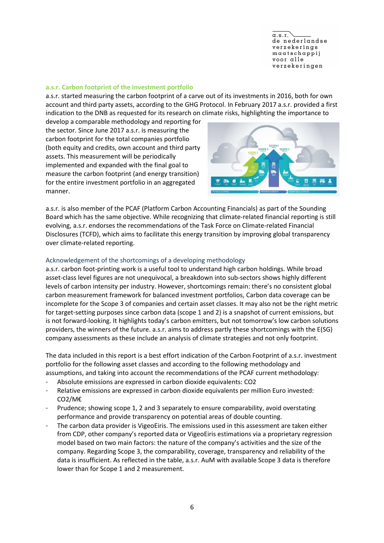$\sigma$  s  $r$ de nederlandse verzekerings maatschappij voor alle verzekeringen

## **a.s.r. Carbon footprint of the investment portfolio**

a.s.r. started measuring the carbon footprint of a carve out of its investments in 2016, both for own account and third party assets, according to the GHG Protocol. In February 2017 a.s.r. provided a first indication to the DNB as requested for its research on climate risks, highlighting the importance to

develop a comparable methodology and reporting for the sector. Since June 2017 a.s.r. is measuring the carbon footprint for the total companies portfolio (both equity and credits, own account and third party assets. This measurement will be periodically implemented and expanded with the final goal to measure the carbon footprint (and energy transition) for the entire investment portfolio in an aggregated manner.



a.s.r. is also member of the PCAF (Platform Carbon Accounting Financials) as part of the Sounding Board which has the same objective. While recognizing that climate-related financial reporting is still evolving, a.s.r. endorses the recommendations of the Task Force on Climate-related Financial Disclosures (TCFD), which aims to facilitate this energy transition by improving global transparency over climate-related reporting.

## Acknowledgement of the shortcomings of a developing methodology

a.s.r. carbon foot-printing work is a useful tool to understand high carbon holdings. While broad asset-class level figures are not unequivocal, a breakdown into sub-sectors shows highly different levels of carbon intensity per industry. However, shortcomings remain: there's no consistent global carbon measurement framework for balanced investment portfolios, Carbon data coverage can be incomplete for the Scope 3 of companies and certain asset classes. It may also not be the right metric for target-setting purposes since carbon data (scope 1 and 2) is a snapshot of current emissions, but is not forward-looking. It highlights today's carbon emitters, but not tomorrow's low carbon solutions providers, the winners of the future. a.s.r. aims to address partly these shortcomings with the E(SG) company assessments as these include an analysis of climate strategies and not only footprint.

The data included in this report is a best effort indication of the Carbon Footprint of a.s.r. investment portfolio for the following asset classes and according to the following methodology and assumptions, and taking into account the recommendations of the PCAF current methodology:

- Absolute emissions are expressed in carbon dioxide equivalents: CO2
- Relative emissions are expressed in carbon dioxide equivalents per million Euro invested: CO2/M€
- Prudence; showing scope 1, 2 and 3 separately to ensure comparability, avoid overstating performance and provide transparency on potential areas of double counting.
- The carbon data provider is VigeoEiris. The emissions used in this assessment are taken either from CDP, other company's reported data or VigeoEiris estimations via a proprietary regression model based on two main factors: the nature of the company's activities and the size of the company. Regarding Scope 3, the comparability, coverage, transparency and reliability of the data is insufficient. As reflected in the table, a.s.r. AuM with available Scope 3 data is therefore lower than for Scope 1 and 2 measurement.